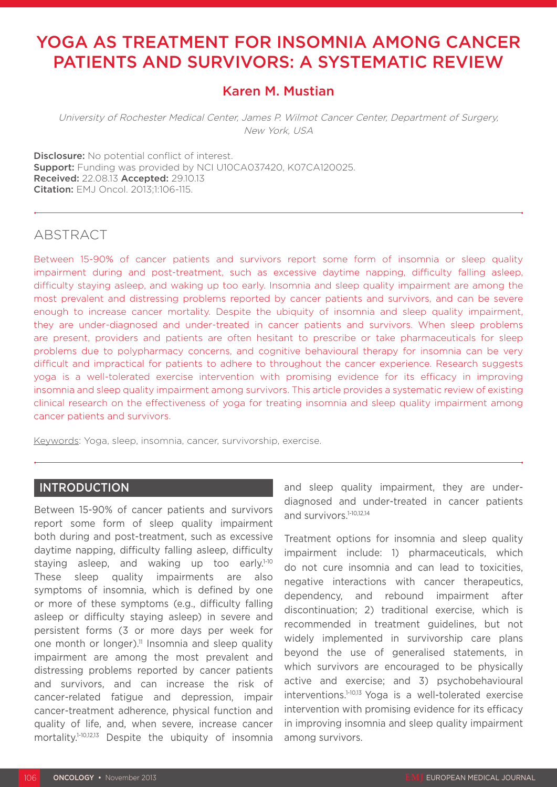# YOGA AS TREATMENT FOR INSOMNIA AMONG CANCER PATIENTS AND SURVIVORS: A SYSTEMATIC REVIEW

# Karen M. Mustian

University of Rochester Medical Center, James P. Wilmot Cancer Center, Department of Surgery, New York, USA

Disclosure: No potential conflict of interest. Support: Funding was provided by NCI U10CA037420, K07CA120025. Received: 22.08.13 Accepted: 29.10.13 Citation: EMJ Oncol. 2013;1:106-115.

# ABSTRACT

Between 15-90% of cancer patients and survivors report some form of insomnia or sleep quality impairment during and post-treatment, such as excessive daytime napping, difficulty falling asleep, difficulty staying asleep, and waking up too early. Insomnia and sleep quality impairment are among the most prevalent and distressing problems reported by cancer patients and survivors, and can be severe enough to increase cancer mortality. Despite the ubiquity of insomnia and sleep quality impairment, they are under-diagnosed and under-treated in cancer patients and survivors. When sleep problems are present, providers and patients are often hesitant to prescribe or take pharmaceuticals for sleep problems due to polypharmacy concerns, and cognitive behavioural therapy for insomnia can be very difficult and impractical for patients to adhere to throughout the cancer experience. Research suggests yoga is a well-tolerated exercise intervention with promising evidence for its efficacy in improving insomnia and sleep quality impairment among survivors. This article provides a systematic review of existing clinical research on the effectiveness of yoga for treating insomnia and sleep quality impairment among cancer patients and survivors.

Keywords: Yoga, sleep, insomnia, cancer, survivorship, exercise.

### **INTRODUCTION**

Between 15-90% of cancer patients and survivors report some form of sleep quality impairment both during and post-treatment, such as excessive daytime napping, difficulty falling asleep, difficulty staying asleep, and waking up too early. $1-10$ These sleep quality impairments are also symptoms of insomnia, which is defined by one or more of these symptoms (e.g., difficulty falling asleep or difficulty staying asleep) in severe and persistent forms (3 or more days per week for one month or longer).<sup>11</sup> Insomnia and sleep quality impairment are among the most prevalent and distressing problems reported by cancer patients and survivors, and can increase the risk of cancer-related fatigue and depression, impair cancer-treatment adherence, physical function and quality of life, and, when severe, increase cancer mortality.<sup>1-10,12,13</sup> Despite the ubiquity of insomnia

and sleep quality impairment, they are underdiagnosed and under-treated in cancer patients and survivors.<sup>1-10,12,14</sup>

Treatment options for insomnia and sleep quality impairment include: 1) pharmaceuticals, which do not cure insomnia and can lead to toxicities, negative interactions with cancer therapeutics, dependency, and rebound impairment after discontinuation; 2) traditional exercise, which is recommended in treatment guidelines, but not widely implemented in survivorship care plans beyond the use of generalised statements, in which survivors are encouraged to be physically active and exercise; and 3) psychobehavioural interventions.1-10,13 Yoga is a well-tolerated exercise intervention with promising evidence for its efficacy in improving insomnia and sleep quality impairment among survivors.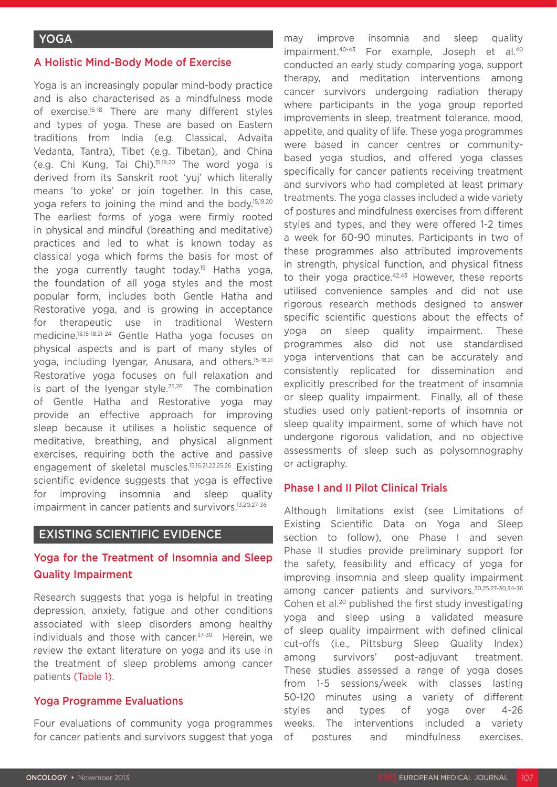#### A Holistic Mind-Body Mode of Exercise

Yoga is an increasingly popular mind-body practice and is also characterised as a mindfulness mode of exercise.15-18 There are many different styles and types of yoga. These are based on Eastern traditions from India (e.g. Classical, Advaita Vedanta, Tantra), Tibet (e.g. Tibetan), and China (e.g. Chi Kung, Tai Chi).15,19,20 The word yoga is derived from its Sanskrit root 'yuj' which literally means 'to yoke' or join together. In this case, yoga refers to joining the mind and the body.15,19,20 The earliest forms of yoga were firmly rooted in physical and mindful (breathing and meditative) practices and led to what is known today as classical yoga which forms the basis for most of the yoga currently taught today.<sup>19</sup> Hatha yoga, the foundation of all yoga styles and the most popular form, includes both Gentle Hatha and Restorative yoga, and is growing in acceptance for therapeutic use in traditional Western medicine.13,15-18,21-24 Gentle Hatha yoga focuses on physical aspects and is part of many styles of yoga, including Iyengar, Anusara, and others.<sup>15-18,21</sup> Restorative yoga focuses on full relaxation and is part of the Iyengar style.25,26 The combination of Gentle Hatha and Restorative yoga may provide an effective approach for improving sleep because it utilises a holistic sequence of meditative, breathing, and physical alignment exercises, requiring both the active and passive engagement of skeletal muscles.15,16,21,22,25,26 Existing scientific evidence suggests that yoga is effective for improving insomnia and sleep quality impairment in cancer patients and survivors.13,20,27-36

#### EXISTING SCIENTIFIC EVIDENCE

### Yoga for the Treatment of Insomnia and Sleep Quality Impairment

Research suggests that yoga is helpful in treating depression, anxiety, fatigue and other conditions associated with sleep disorders among healthy individuals and those with cancer.<sup>37-39</sup> Herein, we review the extant literature on yoga and its use in the treatment of sleep problems among cancer patients (Table 1).

#### Yoga Programme Evaluations

Four evaluations of community yoga programmes for cancer patients and survivors suggest that yoga may improve insomnia and sleep quality impairment.40-43 For example, Joseph et al.40 conducted an early study comparing yoga, support therapy, and meditation interventions among cancer survivors undergoing radiation therapy where participants in the yoga group reported improvements in sleep, treatment tolerance, mood, appetite, and quality of life. These yoga programmes were based in cancer centres or communitybased yoga studios, and offered yoga classes specifically for cancer patients receiving treatment and survivors who had completed at least primary treatments. The yoga classes included a wide variety of postures and mindfulness exercises from different styles and types, and they were offered 1-2 times a week for 60-90 minutes. Participants in two of these programmes also attributed improvements in strength, physical function, and physical fitness to their yoga practice.<sup>42,43</sup> However, these reports utilised convenience samples and did not use rigorous research methods designed to answer specific scientific questions about the effects of yoga on sleep quality impairment. These programmes also did not use standardised yoga interventions that can be accurately and consistently replicated for dissemination and explicitly prescribed for the treatment of insomnia or sleep quality impairment. Finally, all of these studies used only patient-reports of insomnia or sleep quality impairment, some of which have not undergone rigorous validation, and no objective assessments of sleep such as polysomnography or actigraphy.

#### Phase I and II Pilot Clinical Trials

Although limitations exist (see Limitations of Existing Scientific Data on Yoga and Sleep section to follow), one Phase I and seven Phase II studies provide preliminary support for the safety, feasibility and efficacy of yoga for improving insomnia and sleep quality impairment among cancer patients and survivors.20,25,27-30,34-36 Cohen et al.<sup>20</sup> published the first study investigating yoga and sleep using a validated measure of sleep quality impairment with defined clinical cut-offs (i.e., Pittsburg Sleep Quality Index) among survivors' post-adjuvant treatment. These studies assessed a range of yoga doses from 1-5 sessions/week with classes lasting 50-120 minutes using a variety of different styles and types of yoga over 4-26 weeks. The interventions included a variety of postures and mindfulness exercises.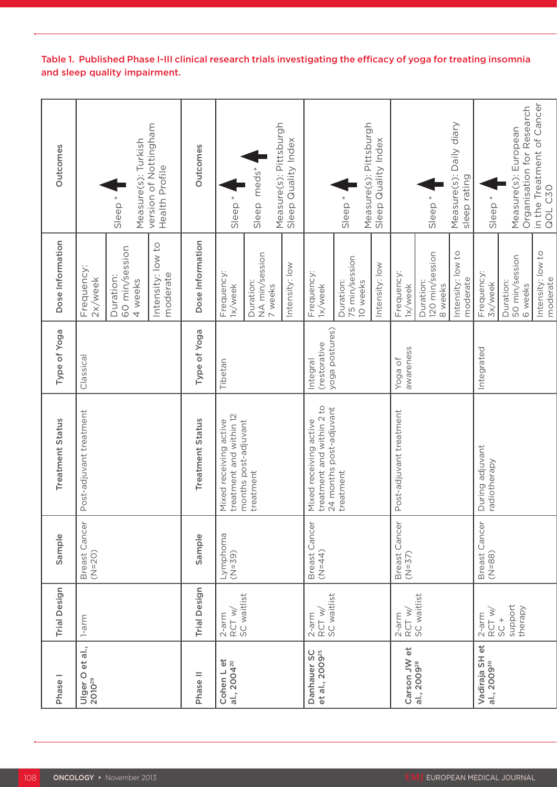| Phase <sub>1</sub>                        | <b>Trial Design</b>               | Sample                    | <b>Treatment Status</b>                                                        | Type of Yoga                               | Dose Information                        | Outcomes                                          |
|-------------------------------------------|-----------------------------------|---------------------------|--------------------------------------------------------------------------------|--------------------------------------------|-----------------------------------------|---------------------------------------------------|
| Ulger O et al.,<br>2010 <sup>29</sup>     | $1$ -arm                          | Breast Cancer<br>$(N=20)$ | Post-adjuvant treatment                                                        | Classical                                  | Frequency:<br>2x/week                   |                                                   |
|                                           |                                   |                           |                                                                                |                                            | 60 min/session<br>Duration:<br>4 weeks  | Measure(s): Turkish<br>sleep <sup>*</sup>         |
|                                           |                                   |                           |                                                                                |                                            | Intensity: low to<br>moderate           | version of Nottingham<br>Health Profile           |
| Phase II                                  | <b>Trial Design</b>               | Sample                    | <b>Treatment Status</b>                                                        | Type of Yoga                               | Dose Information                        | Outcomes                                          |
| Cohen L et<br>al., 2004 <sup>20</sup>     | 2-arm<br>RCT w/<br>SC waitlist    | Lymphoma<br>$(N=39)$      | treatment and within 12<br>Mixed receiving active                              | Tibetan                                    | Frequency:<br>1x/week                   | sleep <sup>*</sup>                                |
|                                           |                                   |                           | months post-adjuvant<br>treatment                                              |                                            | NA min/session<br>Duration:<br>7 weeks  | Sleep meds*                                       |
|                                           |                                   |                           |                                                                                |                                            | Intensity: low                          | Measure(s): Pittsburgh<br>Sleep Quality Index     |
| Danhauer SC<br>et al., 2009 <sup>25</sup> | RCT w/<br>SC waitlist<br>$2$ -arm | Breast Cancer<br>$(N=44)$ | treatment and within 2 to<br>24 months post-adjuvant<br>Mixed receiving active | yoga postures)<br>(restorative<br>Integral | Frequency:<br>1x/week                   |                                                   |
|                                           |                                   |                           | treatment                                                                      |                                            | 75 min/session<br>Duration:<br>10 weeks | Measure(s): Pittsburgh<br>Sleep <sup>*</sup>      |
|                                           |                                   |                           |                                                                                |                                            | Intensity: low                          | Sleep Quality Index                               |
| Carson JW et                              | $2$ -arm<br>RCT w/                | Breast Cancer<br>$(N=37)$ | Post-adjuvant treatment                                                        | awareness<br>Yoga of                       | Frequency:<br>1x/week                   |                                                   |
| al., 2009 <sup>28</sup>                   | SC waitlist                       |                           |                                                                                |                                            | 120 min/session<br>Duration:<br>8 weeks | Sleep <sup>*</sup>                                |
|                                           |                                   |                           |                                                                                |                                            | Intensity: low to<br>moderate           | Measure(s): Daily diary<br>sleep rating           |
| Vadiraja SH et<br>al., 2009 <sup>30</sup> | RCT w,<br>$2$ -arm                | Breast Cancer<br>$(N=88)$ | During adjuvant<br>radiotherapy                                                | Integrated                                 | Frequency<br>3x/week                    | Sleep <sup>*</sup>                                |
|                                           | support<br>therapy<br>$5C +$      |                           |                                                                                |                                            | 50 min/session<br>Duration:<br>6 weeks  | Organisation for Research<br>Measure(s): European |
|                                           |                                   |                           |                                                                                |                                            | Intensity: low to<br>moderate           | in the Treatment of Cancer<br>QOL C30             |

# Table 1. Published Phase I-III clinical research trials investigating the efficacy of yoga for treating insomnia and sleep quality impairment.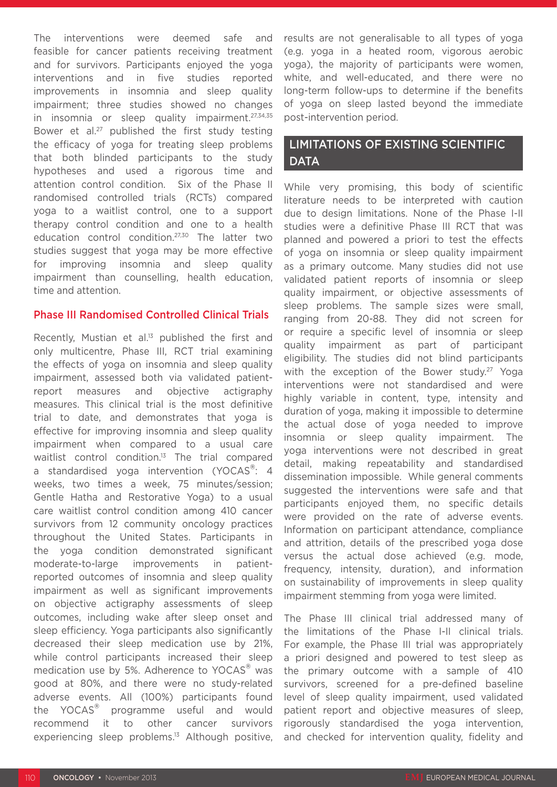The interventions were deemed safe and feasible for cancer patients receiving treatment and for survivors. Participants enjoyed the yoga interventions and in five studies reported improvements in insomnia and sleep quality impairment; three studies showed no changes in insomnia or sleep quality impairment.27,34,35 Bower et al.<sup>27</sup> published the first study testing the efficacy of yoga for treating sleep problems that both blinded participants to the study hypotheses and used a rigorous time and attention control condition. Six of the Phase II randomised controlled trials (RCTs) compared yoga to a waitlist control, one to a support therapy control condition and one to a health education control condition.27,30 The latter two studies suggest that yoga may be more effective for improving insomnia and sleep quality impairment than counselling, health education, time and attention.

#### Phase III Randomised Controlled Clinical Trials

Recently, Mustian et al.<sup>13</sup> published the first and only multicentre, Phase III, RCT trial examining the effects of yoga on insomnia and sleep quality impairment, assessed both via validated patientreport measures and objective actigraphy measures. This clinical trial is the most definitive trial to date, and demonstrates that yoga is effective for improving insomnia and sleep quality impairment when compared to a usual care waitlist control condition.<sup>13</sup> The trial compared a standardised yoga intervention (YOCAS<sup>®</sup>: 4 weeks, two times a week, 75 minutes/session; Gentle Hatha and Restorative Yoga) to a usual care waitlist control condition among 410 cancer survivors from 12 community oncology practices throughout the United States. Participants in the yoga condition demonstrated significant moderate-to-large improvements in patientreported outcomes of insomnia and sleep quality impairment as well as significant improvements on objective actigraphy assessments of sleep outcomes, including wake after sleep onset and sleep efficiency. Yoga participants also significantly decreased their sleep medication use by 21%, while control participants increased their sleep medication use by 5%. Adherence to YOCAS<sup>®</sup> was good at 80%, and there were no study-related adverse events. All (100%) participants found the YOCAS® programme useful and would recommend it to other cancer survivors experiencing sleep problems.13 Although positive,

results are not generalisable to all types of yoga (e.g. yoga in a heated room, vigorous aerobic yoga), the majority of participants were women, white, and well-educated, and there were no long-term follow-ups to determine if the benefits of yoga on sleep lasted beyond the immediate post-intervention period.

# LIMITATIONS OF EXISTING SCIENTIFIC **DATA**

While very promising, this body of scientific literature needs to be interpreted with caution due to design limitations. None of the Phase I-II studies were a definitive Phase III RCT that was planned and powered a priori to test the effects of yoga on insomnia or sleep quality impairment as a primary outcome. Many studies did not use validated patient reports of insomnia or sleep quality impairment, or objective assessments of sleep problems. The sample sizes were small, ranging from 20-88. They did not screen for or require a specific level of insomnia or sleep quality impairment as part of participant eligibility. The studies did not blind participants with the exception of the Bower study.<sup>27</sup> Yoga interventions were not standardised and were highly variable in content, type, intensity and duration of yoga, making it impossible to determine the actual dose of yoga needed to improve insomnia or sleep quality impairment. The yoga interventions were not described in great detail, making repeatability and standardised dissemination impossible. While general comments suggested the interventions were safe and that participants enjoyed them, no specific details were provided on the rate of adverse events. Information on participant attendance, compliance and attrition, details of the prescribed yoga dose versus the actual dose achieved (e.g. mode, frequency, intensity, duration), and information on sustainability of improvements in sleep quality impairment stemming from yoga were limited.

The Phase III clinical trial addressed many of the limitations of the Phase I-II clinical trials. For example, the Phase III trial was appropriately a priori designed and powered to test sleep as the primary outcome with a sample of 410 survivors, screened for a pre-defined baseline level of sleep quality impairment, used validated patient report and objective measures of sleep, rigorously standardised the yoga intervention, and checked for intervention quality, fidelity and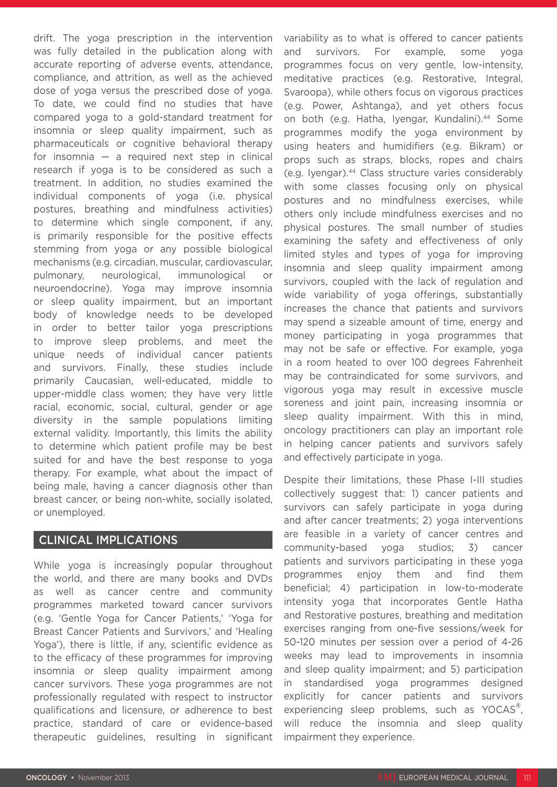drift. The yoga prescription in the intervention was fully detailed in the publication along with accurate reporting of adverse events, attendance, compliance, and attrition, as well as the achieved dose of yoga versus the prescribed dose of yoga. To date, we could find no studies that have compared yoga to a gold-standard treatment for insomnia or sleep quality impairment, such as pharmaceuticals or cognitive behavioral therapy for insomnia  $-$  a required next step in clinical research if yoga is to be considered as such a treatment. In addition, no studies examined the individual components of yoga (i.e. physical postures, breathing and mindfulness activities) to determine which single component, if any, is primarily responsible for the positive effects stemming from yoga or any possible biological mechanisms (e.g. circadian, muscular, cardiovascular, pulmonary, neurological, immunological or neuroendocrine). Yoga may improve insomnia or sleep quality impairment, but an important body of knowledge needs to be developed in order to better tailor yoga prescriptions to improve sleep problems, and meet the unique needs of individual cancer patients and survivors. Finally, these studies include primarily Caucasian, well-educated, middle to upper-middle class women; they have very little racial, economic, social, cultural, gender or age diversity in the sample populations limiting external validity. Importantly, this limits the ability to determine which patient profile may be best suited for and have the best response to yoga therapy. For example, what about the impact of being male, having a cancer diagnosis other than breast cancer, or being non-white, socially isolated, or unemployed.

### CLINICAL IMPLICATIONS

While yoga is increasingly popular throughout the world, and there are many books and DVDs as well as cancer centre and community programmes marketed toward cancer survivors (e.g. 'Gentle Yoga for Cancer Patients,' 'Yoga for Breast Cancer Patients and Survivors,' and 'Healing Yoga'), there is little, if any, scientific evidence as to the efficacy of these programmes for improving insomnia or sleep quality impairment among cancer survivors. These yoga programmes are not professionally regulated with respect to instructor qualifications and licensure, or adherence to best practice, standard of care or evidence-based therapeutic guidelines, resulting in significant variability as to what is offered to cancer patients and survivors. For example, some yoga programmes focus on very gentle, low-intensity, meditative practices (e.g. Restorative, Integral, Svaroopa), while others focus on vigorous practices (e.g. Power, Ashtanga), and yet others focus on both (e.g. Hatha, Iyengar, Kundalini).<sup>44</sup> Some programmes modify the yoga environment by using heaters and humidifiers (e.g. Bikram) or props such as straps, blocks, ropes and chairs (e.g. Iyengar).44 Class structure varies considerably with some classes focusing only on physical postures and no mindfulness exercises, while others only include mindfulness exercises and no physical postures. The small number of studies examining the safety and effectiveness of only limited styles and types of yoga for improving insomnia and sleep quality impairment among survivors, coupled with the lack of regulation and wide variability of yoga offerings, substantially increases the chance that patients and survivors may spend a sizeable amount of time, energy and money participating in yoga programmes that may not be safe or effective. For example, yoga in a room heated to over 100 degrees Fahrenheit may be contraindicated for some survivors, and vigorous yoga may result in excessive muscle soreness and joint pain, increasing insomnia or sleep quality impairment. With this in mind, oncology practitioners can play an important role in helping cancer patients and survivors safely and effectively participate in yoga.

Despite their limitations, these Phase I-III studies collectively suggest that: 1) cancer patients and survivors can safely participate in yoga during and after cancer treatments; 2) yoga interventions are feasible in a variety of cancer centres and community-based yoga studios; 3) cancer patients and survivors participating in these yoga programmes enjoy them and find them beneficial; 4) participation in low-to-moderate intensity yoga that incorporates Gentle Hatha and Restorative postures, breathing and meditation exercises ranging from one-five sessions/week for 50-120 minutes per session over a period of 4-26 weeks may lead to improvements in insomnia and sleep quality impairment; and 5) participation in standardised yoga programmes designed explicitly for cancer patients and survivors experiencing sleep problems, such as YOCAS<sup>®</sup>, will reduce the insomnia and sleep quality impairment they experience.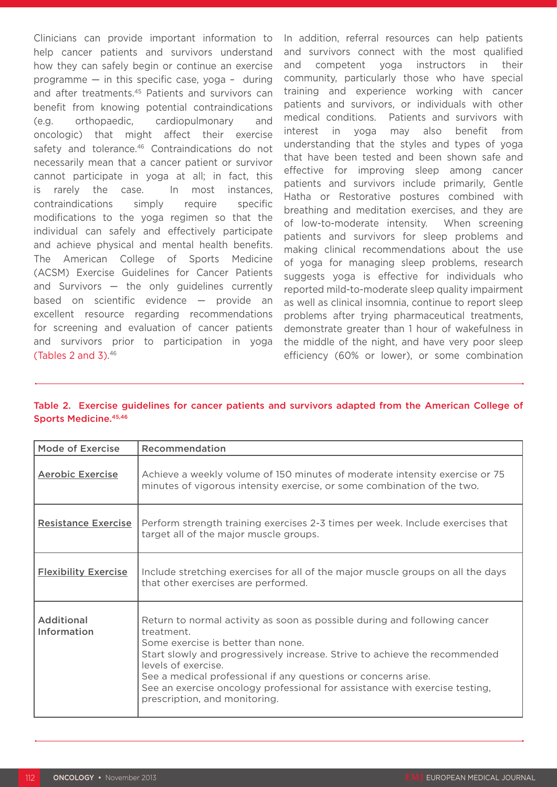Clinicians can provide important information to help cancer patients and survivors understand how they can safely begin or continue an exercise programme — in this specific case, yoga – during and after treatments.<sup>45</sup> Patients and survivors can benefit from knowing potential contraindications (e.g. orthopaedic, cardiopulmonary and oncologic) that might affect their exercise safety and tolerance.<sup>46</sup> Contraindications do not necessarily mean that a cancer patient or survivor cannot participate in yoga at all; in fact, this is rarely the case. In most instances, contraindications simply require specific modifications to the yoga regimen so that the individual can safely and effectively participate and achieve physical and mental health benefits. The American College of Sports Medicine (ACSM) Exercise Guidelines for Cancer Patients and Survivors — the only guidelines currently based on scientific evidence — provide an excellent resource regarding recommendations for screening and evaluation of cancer patients and survivors prior to participation in yoga (Tables 2 and 3). 46

In addition, referral resources can help patients and survivors connect with the most qualified and competent yoga instructors in their community, particularly those who have special training and experience working with cancer patients and survivors, or individuals with other medical conditions. Patients and survivors with interest in yoga may also benefit from understanding that the styles and types of yoga that have been tested and been shown safe and effective for improving sleep among cancer patients and survivors include primarily, Gentle Hatha or Restorative postures combined with breathing and meditation exercises, and they are of low-to-moderate intensity. When screening patients and survivors for sleep problems and making clinical recommendations about the use of yoga for managing sleep problems, research suggests yoga is effective for individuals who reported mild-to-moderate sleep quality impairment as well as clinical insomnia, continue to report sleep problems after trying pharmaceutical treatments, demonstrate greater than 1 hour of wakefulness in the middle of the night, and have very poor sleep efficiency (60% or lower), or some combination

#### Table 2. Exercise guidelines for cancer patients and survivors adapted from the American College of Sports Medicine. 45,46

| <b>Mode of Exercise</b>          | Recommendation                                                                                                                                                                                                                                                                                                                                                                                                       |  |
|----------------------------------|----------------------------------------------------------------------------------------------------------------------------------------------------------------------------------------------------------------------------------------------------------------------------------------------------------------------------------------------------------------------------------------------------------------------|--|
| <b>Aerobic Exercise</b>          | Achieve a weekly volume of 150 minutes of moderate intensity exercise or 75<br>minutes of vigorous intensity exercise, or some combination of the two.                                                                                                                                                                                                                                                               |  |
| <b>Resistance Exercise</b>       | Perform strength training exercises 2-3 times per week. Include exercises that<br>target all of the major muscle groups.                                                                                                                                                                                                                                                                                             |  |
| <b>Flexibility Exercise</b>      | Include stretching exercises for all of the major muscle groups on all the days<br>that other exercises are performed.                                                                                                                                                                                                                                                                                               |  |
| <b>Additional</b><br>Information | Return to normal activity as soon as possible during and following cancer<br>treatment.<br>Some exercise is better than none.<br>Start slowly and progressively increase. Strive to achieve the recommended<br>levels of exercise.<br>See a medical professional if any questions or concerns arise.<br>See an exercise oncology professional for assistance with exercise testing,<br>prescription, and monitoring. |  |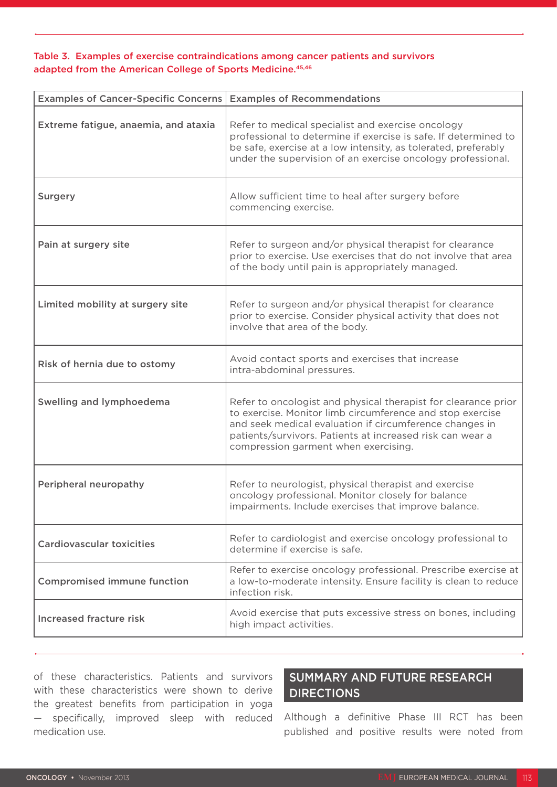### Table 3. Examples of exercise contraindications among cancer patients and survivors adapted from the American College of Sports Medicine.<sup>45,46</sup>

| <b>Examples of Cancer-Specific Concerns</b> | <b>Examples of Recommendations</b>                                                                                                                                                                                                                                                          |
|---------------------------------------------|---------------------------------------------------------------------------------------------------------------------------------------------------------------------------------------------------------------------------------------------------------------------------------------------|
| Extreme fatigue, anaemia, and ataxia        | Refer to medical specialist and exercise oncology<br>professional to determine if exercise is safe. If determined to<br>be safe, exercise at a low intensity, as tolerated, preferably<br>under the supervision of an exercise oncology professional.                                       |
| Surgery                                     | Allow sufficient time to heal after surgery before<br>commencing exercise.                                                                                                                                                                                                                  |
| Pain at surgery site                        | Refer to surgeon and/or physical therapist for clearance<br>prior to exercise. Use exercises that do not involve that area<br>of the body until pain is appropriately managed.                                                                                                              |
| Limited mobility at surgery site            | Refer to surgeon and/or physical therapist for clearance<br>prior to exercise. Consider physical activity that does not<br>involve that area of the body.                                                                                                                                   |
| Risk of hernia due to ostomy                | Avoid contact sports and exercises that increase<br>intra-abdominal pressures.                                                                                                                                                                                                              |
| Swelling and lymphoedema                    | Refer to oncologist and physical therapist for clearance prior<br>to exercise. Monitor limb circumference and stop exercise<br>and seek medical evaluation if circumference changes in<br>patients/survivors. Patients at increased risk can wear a<br>compression garment when exercising. |
| Peripheral neuropathy                       | Refer to neurologist, physical therapist and exercise<br>oncology professional. Monitor closely for balance<br>impairments. Include exercises that improve balance.                                                                                                                         |
| <b>Cardiovascular toxicities</b>            | Refer to cardiologist and exercise oncology professional to<br>determine if exercise is safe.                                                                                                                                                                                               |
| <b>Compromised immune function</b>          | Refer to exercise oncology professional. Prescribe exercise at<br>a low-to-moderate intensity. Ensure facility is clean to reduce<br>infection risk.                                                                                                                                        |
| <b>Increased fracture risk</b>              | Avoid exercise that puts excessive stress on bones, including<br>high impact activities.                                                                                                                                                                                                    |

of these characteristics. Patients and survivors with these characteristics were shown to derive the greatest benefits from participation in yoga — specifically, improved sleep with reduced medication use.

# SUMMARY AND FUTURE RESEARCH **DIRECTIONS**

Although a definitive Phase III RCT has been published and positive results were noted from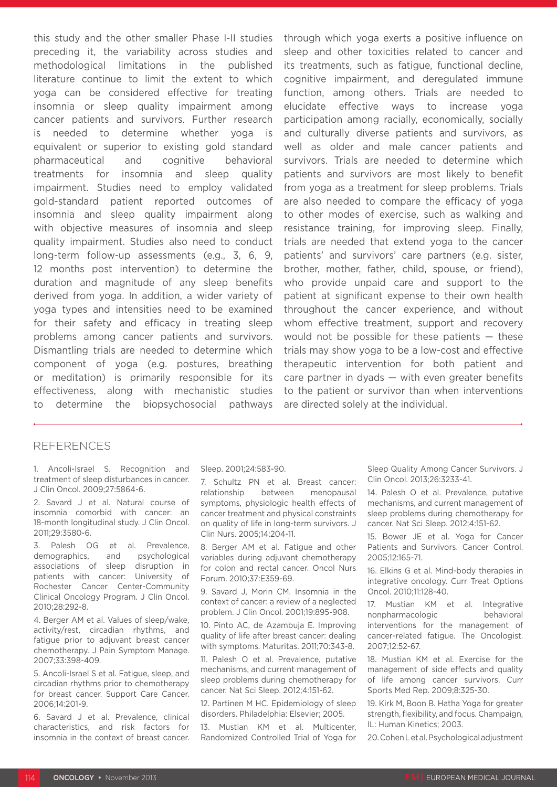this study and the other smaller Phase I-II studies preceding it, the variability across studies and methodological limitations in the published literature continue to limit the extent to which yoga can be considered effective for treating insomnia or sleep quality impairment among cancer patients and survivors. Further research is needed to determine whether yoga is equivalent or superior to existing gold standard pharmaceutical and cognitive behavioral treatments for insomnia and sleep quality impairment. Studies need to employ validated gold-standard patient reported outcomes of insomnia and sleep quality impairment along with objective measures of insomnia and sleep quality impairment. Studies also need to conduct long-term follow-up assessments (e.g., 3, 6, 9, 12 months post intervention) to determine the duration and magnitude of any sleep benefits derived from yoga. In addition, a wider variety of yoga types and intensities need to be examined for their safety and efficacy in treating sleep problems among cancer patients and survivors. Dismantling trials are needed to determine which component of yoga (e.g. postures, breathing or meditation) is primarily responsible for its effectiveness, along with mechanistic studies to determine the biopsychosocial pathways

through which yoga exerts a positive influence on sleep and other toxicities related to cancer and its treatments, such as fatigue, functional decline, cognitive impairment, and deregulated immune function, among others. Trials are needed to elucidate effective ways to increase yoga participation among racially, economically, socially and culturally diverse patients and survivors, as well as older and male cancer patients and survivors. Trials are needed to determine which patients and survivors are most likely to benefit from yoga as a treatment for sleep problems. Trials are also needed to compare the efficacy of yoga to other modes of exercise, such as walking and resistance training, for improving sleep. Finally, trials are needed that extend yoga to the cancer patients' and survivors' care partners (e.g. sister, brother, mother, father, child, spouse, or friend), who provide unpaid care and support to the patient at significant expense to their own health throughout the cancer experience, and without whom effective treatment, support and recovery would not be possible for these patients  $-$  these trials may show yoga to be a low-cost and effective therapeutic intervention for both patient and care partner in dyads — with even greater benefits to the patient or survivor than when interventions are directed solely at the individual.

### REFERENCES

1. Ancoli-Israel S. Recognition and treatment of sleep disturbances in cancer. J Clin Oncol. 2009;27:5864-6.

2. Savard J et al. Natural course of insomnia comorbid with cancer: an 18-month longitudinal study. J Clin Oncol. 2011;29:3580-6.

3. Palesh OG et al. Prevalence, demographics, and psychological associations of sleep disruption in patients with cancer: University of Rochester Cancer Center-Community Clinical Oncology Program. J Clin Oncol. 2010;28:292-8.

4. Berger AM et al. Values of sleep/wake, activity/rest, circadian rhythms, and fatigue prior to adjuvant breast cancer chemotherapy. J Pain Symptom Manage. 2007;33:398-409.

5. Ancoli-Israel S et al. Fatigue, sleep, and circadian rhythms prior to chemotherapy for breast cancer. Support Care Cancer. 2006;14:201-9.

6. Savard J et al. Prevalence, clinical characteristics, and risk factors for insomnia in the context of breast cancer. Sleep. 2001;24:583-90.

7. Schultz PN et al. Breast cancer: relationship between menopausal symptoms, physiologic health effects of cancer treatment and physical constraints on quality of life in long-term survivors. J Clin Nurs. 2005;14:204-11.

8. Berger AM et al. Fatigue and other variables during adjuvant chemotherapy for colon and rectal cancer. Oncol Nurs Forum. 2010;37:E359-69.

9. Savard J, Morin CM. Insomnia in the context of cancer: a review of a neglected problem. J Clin Oncol. 2001;19:895-908.

10. Pinto AC, de Azambuja E. Improving quality of life after breast cancer: dealing with symptoms. Maturitas. 2011;70:343-8.

11. Palesh O et al. Prevalence, putative mechanisms, and current management of sleep problems during chemotherapy for cancer. Nat Sci Sleep. 2012;4:151-62.

12. Partinen M HC. Epidemiology of sleep disorders. Philadelphia: Elsevier; 2005.

13. Mustian KM et al. Multicenter, Randomized Controlled Trial of Yoga for

Sleep Quality Among Cancer Survivors. J Clin Oncol. 2013;26:3233-41.

14. Palesh O et al. Prevalence, putative mechanisms, and current management of sleep problems during chemotherapy for cancer. Nat Sci Sleep. 2012;4:151-62.

15. Bower JE et al. Yoga for Cancer Patients and Survivors. Cancer Control. 2005;12:165-71.

16. Elkins G et al. Mind-body therapies in integrative oncology. Curr Treat Options Oncol. 2010;11:128-40.

17. Mustian KM et al. Integrative nonpharmacologic behavioral interventions for the management of cancer-related fatigue. The Oncologist. 2007;12:52-67.

18. Mustian KM et al. Exercise for the management of side effects and quality of life among cancer survivors. Curr Sports Med Rep. 2009;8:325-30.

19. Kirk M, Boon B. Hatha Yoga for greater strength, flexibility, and focus. Champaign, IL: Human Kinetics; 2003.

20. Cohen L et al. Psychological adjustment